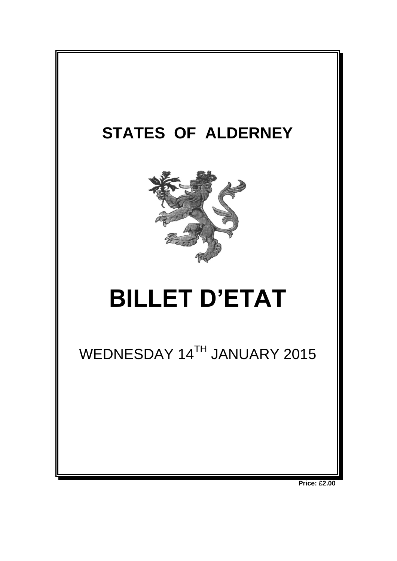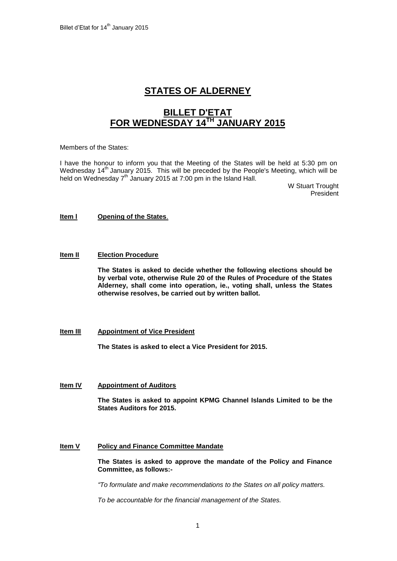# **STATES OF ALDERNEY**

# **BILLET D'ETAT FOR WEDNESDAY 14TH JANUARY 2015**

Members of the States:

I have the honour to inform you that the Meeting of the States will be held at 5:30 pm on Wednesday  $14<sup>th</sup>$  January 2015. This will be preceded by the People's Meeting, which will be held on Wednesday 7<sup>th</sup> January 2015 at 7:00 pm in the Island Hall.

> W Stuart Trought President

#### **Item l Opening of the States**.

#### **Item II Election Procedure**

**The States is asked to decide whether the following elections should be by verbal vote, otherwise Rule 20 of the Rules of Procedure of the States Alderney, shall come into operation, ie., voting shall, unless the States otherwise resolves, be carried out by written ballot.**

#### **Item III Appointment of Vice President**

**The States is asked to elect a Vice President for 2015.**

#### **Item IV Appointment of Auditors**

**The States is asked to appoint KPMG Channel Islands Limited to be the States Auditors for 2015.**

#### **Item V Policy and Finance Committee Mandate**

**The States is asked to approve the mandate of the Policy and Finance Committee, as follows:-**

*"To formulate and make recommendations to the States on all policy matters.*

*To be accountable for the financial management of the States.*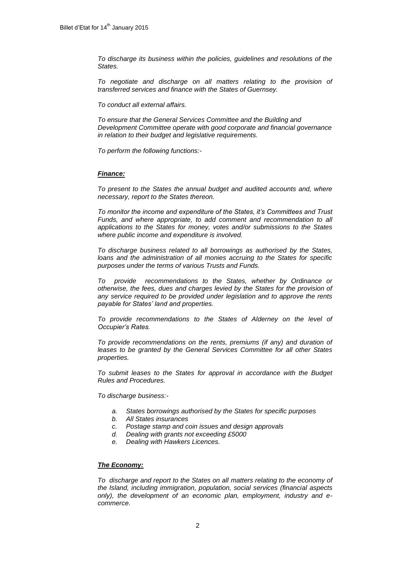*To discharge its business within the policies, guidelines and resolutions of the States.*

*To negotiate and discharge on all matters relating to the provision of transferred services and finance with the States of Guernsey.*

*To conduct all external affairs.*

*To ensure that the General Services Committee and the Building and Development Committee operate with good corporate and financial governance in relation to their budget and legislative requirements.*

*To perform the following functions:-*

#### *Finance:*

*To present to the States the annual budget and audited accounts and, where necessary, report to the States thereon.*

*To monitor the income and expenditure of the States, it's Committees and Trust Funds, and where appropriate, to add comment and recommendation to all applications to the States for money, votes and/or submissions to the States where public income and expenditure is involved.*

*To discharge business related to all borrowings as authorised by the States,*  loans and the administration of all monies accruing to the States for specific *purposes under the terms of various Trusts and Funds.*

*To provide recommendations to the States, whether by Ordinance or otherwise, the fees, dues and charges levied by the States for the provision of any service required to be provided under legislation and to approve the rents payable for States' land and properties.* 

*To provide recommendations to the States of Alderney on the level of Occupier's Rates.*

*To provide recommendations on the rents, premiums (if any) and duration of*  leases to be granted by the General Services Committee for all other States *properties.*

*To submit leases to the States for approval in accordance with the Budget Rules and Procedures.*

*To discharge business:-*

- *a. States borrowings authorised by the States for specific purposes*
- *b. All States insurances*
- *c. Postage stamp and coin issues and design approvals*
- *d. Dealing with grants not exceeding £5000*
- *e. Dealing with Hawkers Licences.*

#### *The Economy:*

*To discharge and report to the States on all matters relating to the economy of the Island, including immigration, population, social services (financial aspects only), the development of an economic plan, employment, industry and ecommerce.*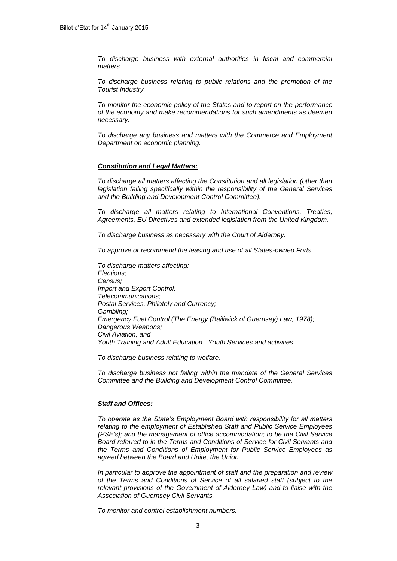*To discharge business with external authorities in fiscal and commercial matters.* 

*To discharge business relating to public relations and the promotion of the Tourist Industry.*

*To monitor the economic policy of the States and to report on the performance of the economy and make recommendations for such amendments as deemed necessary.*

*To discharge any business and matters with the Commerce and Employment Department on economic planning.*

#### *Constitution and Legal Matters:*

*To discharge all matters affecting the Constitution and all legislation (other than legislation falling specifically within the responsibility of the General Services and the Building and Development Control Committee).* 

*To discharge all matters relating to International Conventions, Treaties, Agreements, EU Directives and extended legislation from the United Kingdom.*

*To discharge business as necessary with the Court of Alderney.*

*To approve or recommend the leasing and use of all States-owned Forts.*

*To discharge matters affecting:- Elections; Census; Import and Export Control; Telecommunications; Postal Services, Philately and Currency; Gambling; Emergency Fuel Control (The Energy (Bailiwick of Guernsey) Law, 1978); Dangerous Weapons; Civil Aviation; and Youth Training and Adult Education. Youth Services and activities.*

*To discharge business relating to welfare.*

*To discharge business not falling within the mandate of the General Services Committee and the Building and Development Control Committee.*

#### *Staff and Offices:*

*To operate as the State's Employment Board with responsibility for all matters relating to the employment of Established Staff and Public Service Employees (PSE's); and the management of office accommodation; to be the Civil Service Board referred to in the Terms and Conditions of Service for Civil Servants and the Terms and Conditions of Employment for Public Service Employees as agreed between the Board and Unite, the Union.* 

*In particular to approve the appointment of staff and the preparation and review of the Terms and Conditions of Service of all salaried staff (subject to the relevant provisions of the Government of Alderney Law) and to liaise with the Association of Guernsey Civil Servants.*

*To monitor and control establishment numbers.*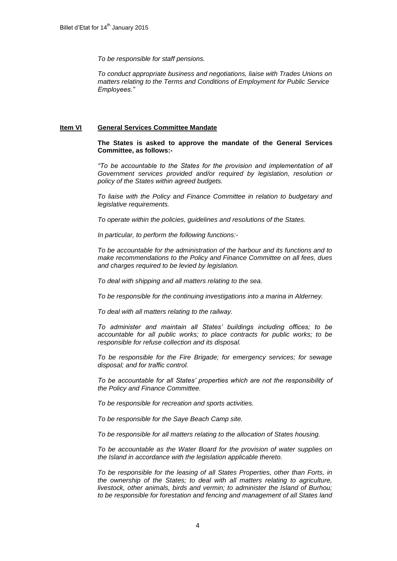*To be responsible for staff pensions.*

*To conduct appropriate business and negotiations, liaise with Trades Unions on matters relating to the Terms and Conditions of Employment for Public Service Employees."*

# **Item VI General Services Committee Mandate**

**The States is asked to approve the mandate of the General Services Committee, as follows:-**

*"To be accountable to the States for the provision and implementation of all Government services provided and/or required by legislation, resolution or policy of the States within agreed budgets.*

*To liaise with the Policy and Finance Committee in relation to budgetary and legislative requirements.*

*To operate within the policies, guidelines and resolutions of the States.*

*In particular, to perform the following functions:-*

*To be accountable for the administration of the harbour and its functions and to make recommendations to the Policy and Finance Committee on all fees, dues and charges required to be levied by legislation.*

*To deal with shipping and all matters relating to the sea.*

*To be responsible for the continuing investigations into a marina in Alderney.*

*To deal with all matters relating to the railway.*

*To administer and maintain all States' buildings including offices; to be accountable for all public works; to place contracts for public works; to be responsible for refuse collection and its disposal.*

*To be responsible for the Fire Brigade; for emergency services; for sewage disposal; and for traffic control.*

*To be accountable for all States' properties which are not the responsibility of the Policy and Finance Committee.* 

*To be responsible for recreation and sports activities.* 

*To be responsible for the Saye Beach Camp site.*

*To be responsible for all matters relating to the allocation of States housing.*

*To be accountable as the Water Board for the provision of water supplies on the Island in accordance with the legislation applicable thereto.*

*To be responsible for the leasing of all States Properties, other than Forts, in the ownership of the States; to deal with all matters relating to agriculture, livestock, other animals, birds and vermin; to administer the Island of Burhou; to be responsible for forestation and fencing and management of all States land*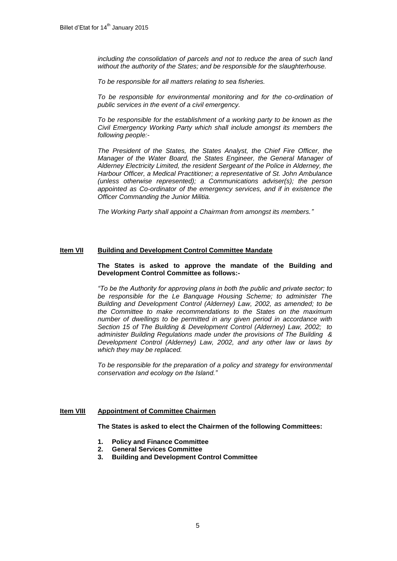*including the consolidation of parcels and not to reduce the area of such land without the authority of the States; and be responsible for the slaughterhouse.*

*To be responsible for all matters relating to sea fisheries.*

*To be responsible for environmental monitoring and for the co-ordination of public services in the event of a civil emergency.* 

*To be responsible for the establishment of a working party to be known as the Civil Emergency Working Party which shall include amongst its members the following people:-*

*The President of the States, the States Analyst, the Chief Fire Officer, the Manager of the Water Board, the States Engineer, the General Manager of Alderney Electricity Limited, the resident Sergeant of the Police in Alderney, the Harbour Officer, a Medical Practitioner; a representative of St. John Ambulance (unless otherwise represented); a Communications adviser(s); the person appointed as Co-ordinator of the emergency services, and if in existence the Officer Commanding the Junior Militia.*

*The Working Party shall appoint a Chairman from amongst its members."*

#### **Item VII Building and Development Control Committee Mandate**

#### **The States is asked to approve the mandate of the Building and Development Control Committee as follows:-**

*"To be the Authority for approving plans in both the public and private sector; to be responsible for the Le Banquage Housing Scheme; to administer The Building and Development Control (Alderney) Law, 2002, as amended; to be the Committee to make recommendations to the States on the maximum number of dwellings to be permitted in any given period in accordance with Section 15 of The Building & Development Control (Alderney) Law, 2002; to administer Building Regulations made under the provisions of The Building & Development Control (Alderney) Law, 2002, and any other law or laws by which they may be replaced.*

*To be responsible for the preparation of a policy and strategy for environmental conservation and ecology on the Island."*

#### **Item VIII Appointment of Committee Chairmen**

**The States is asked to elect the Chairmen of the following Committees:**

- **1. Policy and Finance Committee**
- **2. General Services Committee**
- **3. Building and Development Control Committee**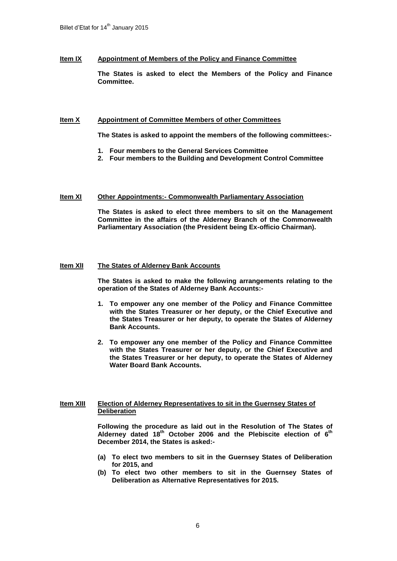# **Item IX Appointment of Members of the Policy and Finance Committee**

**The States is asked to elect the Members of the Policy and Finance Committee.**

#### **Item X Appointment of Committee Members of other Committees**

**The States is asked to appoint the members of the following committees:-**

- **1. Four members to the General Services Committee**
- **2. Four members to the Building and Development Control Committee**

#### **Item XI Other Appointments:- Commonwealth Parliamentary Association**

**The States is asked to elect three members to sit on the Management Committee in the affairs of the Alderney Branch of the Commonwealth Parliamentary Association (the President being Ex-officio Chairman).**

# **Item XlI The States of Alderney Bank Accounts**

**The States is asked to make the following arrangements relating to the operation of the States of Alderney Bank Accounts:-**

- **1. To empower any one member of the Policy and Finance Committee with the States Treasurer or her deputy, or the Chief Executive and the States Treasurer or her deputy, to operate the States of Alderney Bank Accounts.**
- **2. To empower any one member of the Policy and Finance Committee with the States Treasurer or her deputy, or the Chief Executive and the States Treasurer or her deputy, to operate the States of Alderney Water Board Bank Accounts.**

# **Item XIII Election of Alderney Representatives to sit in the Guernsey States of Deliberation**

**Following the procedure as laid out in the Resolution of The States of Alderney dated 18th October 2006 and the Plebiscite election of 6 th December 2014, the States is asked:-**

- **(a) To elect two members to sit in the Guernsey States of Deliberation for 2015, and**
- **(b) To elect two other members to sit in the Guernsey States of Deliberation as Alternative Representatives for 2015.**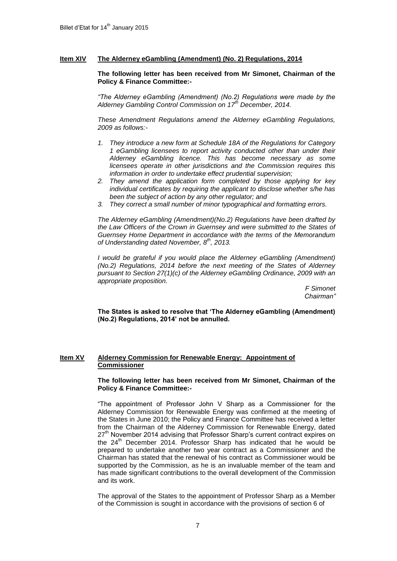# **Item XIV The Alderney eGambling (Amendment) (No. 2) Regulations, 2014**

**The following letter has been received from Mr Simonet, Chairman of the Policy & Finance Committee:-**

*"The Alderney eGambling (Amendment) (No.2) Regulations were made by the Alderney Gambling Control Commission on 17th December, 2014.*

*These Amendment Regulations amend the Alderney eGambling Regulations, 2009 as follows:-*

- *1. They introduce a new form at Schedule 18A of the Regulations for Category 1 eGambling licensees to report activity conducted other than under their Alderney eGambling licence. This has become necessary as some licensees operate in other jurisdictions and the Commission requires this information in order to undertake effect prudential supervision;*
- *2. They amend the application form completed by those applying for key individual certificates by requiring the applicant to disclose whether s/he has been the subject of action by any other regulator; and*
- *3. They correct a small number of minor typographical and formatting errors.*

*The Alderney eGambling (Amendment)(No.2) Regulations have been drafted by the Law Officers of the Crown in Guernsey and were submitted to the States of Guernsey Home Department in accordance with the terms of the Memorandum of Understanding dated November, 8th, 2013.*

*I* would be grateful if you would place the Alderney eGambling (Amendment) *(No.2) Regulations, 2014 before the next meeting of the States of Alderney pursuant to Section 27(1)(c) of the Alderney eGambling Ordinance, 2009 with an appropriate proposition.*

*F Simonet Chairman"*

**The States is asked to resolve that 'The Alderney eGambling (Amendment) (No.2) Regulations, 2014' not be annulled.**

# **Item XV Alderney Commission for Renewable Energy: Appointment of Commissioner**

**The following letter has been received from Mr Simonet, Chairman of the Policy & Finance Committee:-**

"The appointment of Professor John V Sharp as a Commissioner for the Alderney Commission for Renewable Energy was confirmed at the meeting of the States in June 2010; the Policy and Finance Committee has received a letter from the Chairman of the Alderney Commission for Renewable Energy, dated 27<sup>th</sup> November 2014 advising that Professor Sharp's current contract expires on the  $24<sup>th</sup>$  December 2014. Professor Sharp has indicated that he would be prepared to undertake another two year contract as a Commissioner and the Chairman has stated that the renewal of his contract as Commissioner would be supported by the Commission, as he is an invaluable member of the team and has made significant contributions to the overall development of the Commission and its work.

The approval of the States to the appointment of Professor Sharp as a Member of the Commission is sought in accordance with the provisions of section 6 of